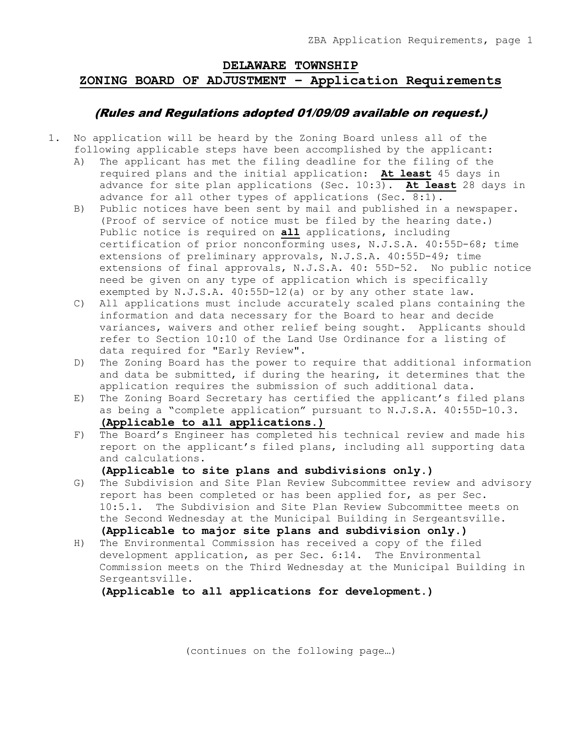## **DELAWARE TOWNSHIP ZONING BOARD OF ADJUSTMENT – Application Requirements**

## (Rules and Regulations adopted 01/09/09 available on request.)

- 1. No application will be heard by the Zoning Board unless all of the following applicable steps have been accomplished by the applicant:
	- A) The applicant has met the filing deadline for the filing of the required plans and the initial application: **At least** 45 days in advance for site plan applications (Sec. 10:3). **At least** 28 days in advance for all other types of applications (Sec. 8:1).
	- B) Public notices have been sent by mail and published in a newspaper. (Proof of service of notice must be filed by the hearing date.) Public notice is required on **all** applications, including certification of prior nonconforming uses, N.J.S.A. 40:55D-68; time extensions of preliminary approvals, N.J.S.A. 40:55D-49; time extensions of final approvals, N.J.S.A. 40: 55D-52. No public notice need be given on any type of application which is specifically exempted by N.J.S.A. 40:55D-12(a) or by any other state law.
	- C) All applications must include accurately scaled plans containing the information and data necessary for the Board to hear and decide variances, waivers and other relief being sought. Applicants should refer to Section 10:10 of the Land Use Ordinance for a listing of data required for "Early Review".
	- D) The Zoning Board has the power to require that additional information and data be submitted, if during the hearing, it determines that the application requires the submission of such additional data.
	- E) The Zoning Board Secretary has certified the applicant's filed plans as being a "complete application" pursuant to N.J.S.A. 40:55D-10.3. **(Applicable to all applications.)**
	- F) The Board's Engineer has completed his technical review and made his report on the applicant's filed plans, including all supporting data and calculations.

**(Applicable to site plans and subdivisions only.)**

- G) The Subdivision and Site Plan Review Subcommittee review and advisory report has been completed or has been applied for, as per Sec. 10:5.1. The Subdivision and Site Plan Review Subcommittee meets on the Second Wednesday at the Municipal Building in Sergeantsville. **(Applicable to major site plans and subdivision only.)**
- H) The Environmental Commission has received a copy of the filed development application, as per Sec. 6:14. The Environmental Commission meets on the Third Wednesday at the Municipal Building in Sergeantsville.

**(Applicable to all applications for development.)**

(continues on the following page…)